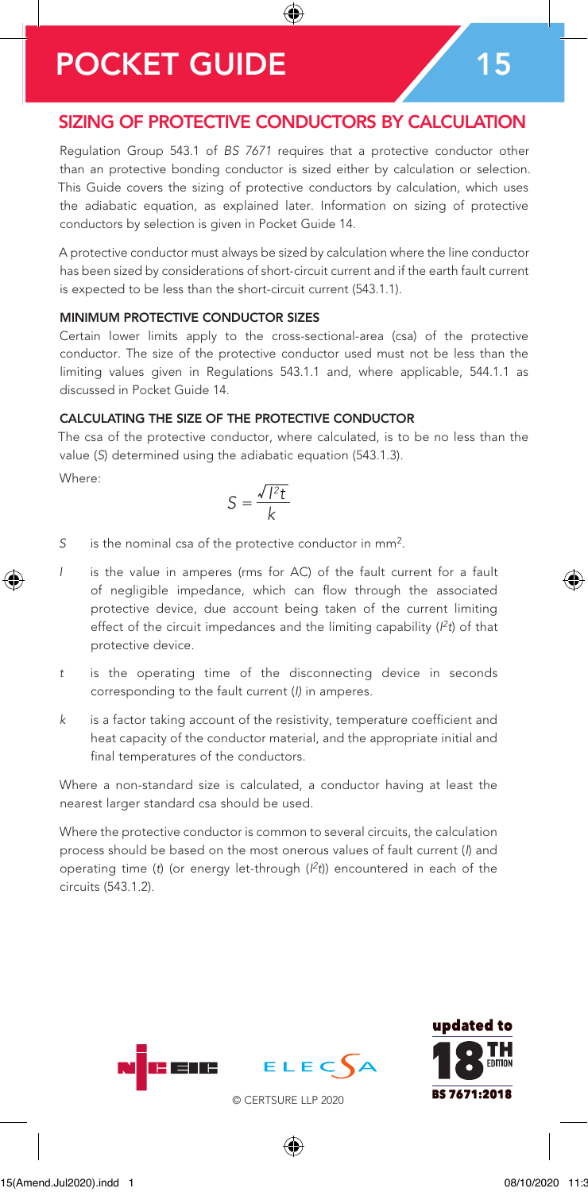# POCKET GUIDE 15

### SIZING OF PROTECTIVE CONDUCTORS BY CALCULATION

◈

Regulation Group 543.1 of *BS 7671* requires that a protective conductor other than an protective bonding conductor is sized either by calculation or selection. This Guide covers the sizing of protective conductors by calculation, which uses the adiabatic equation, as explained later. Information on sizing of protective conductors by selection is given in Pocket Guide 14.

A protective conductor must always be sized by calculation where the line conductor has been sized by considerations of short-circuit current and if the earth fault current is expected to be less than the short-circuit current (543.1.1).

### MINIMUM PROTECTIVE CONDUCTOR SIZES

Certain lower limits apply to the cross-sectional-area (csa) of the protective conductor. The size of the protective conductor used must not be less than the limiting values given in Regulations 543.1.1 and, where applicable, 544.1.1 as discussed in Pocket Guide 14.

#### CALCULATING THE SIZE OF THE PROTECTIVE CONDUCTOR

The csa of the protective conductor, where calculated, is to be no less than the value (*S*) determined using the adiabatic equation (543.1.3).

Where:

⊕

$$
S = \frac{\sqrt{l^2 t}}{k}
$$

- *S* is the nominal csa of the protective conductor in mm2.
- *I* is the value in amperes (rms for AC) of the fault current for a fault of negligible impedance, which can flow through the associated protective device, due account being taken of the current limiting effect of the circuit impedances and the limiting capability (*I 2t*) of that protective device.
- *t* is the operating time of the disconnecting device in seconds corresponding to the fault current (*I)* in amperes.
- *k* is a factor taking account of the resistivity, temperature coefficient and heat capacity of the conductor material, and the appropriate initial and final temperatures of the conductors.

Where a non-standard size is calculated, a conductor having at least the nearest larger standard csa should be used.

Where the protective conductor is common to several circuits, the calculation process should be based on the most onerous values of fault current (*I*) and operating time (*t*) (or energy let-through (*I 2t*)) encountered in each of the circuits (543.1.2).





© CERTSURE LLP 2020

◈

PG15(Amend.Jul2020).indd 1 08/10/2020 11:31

♠